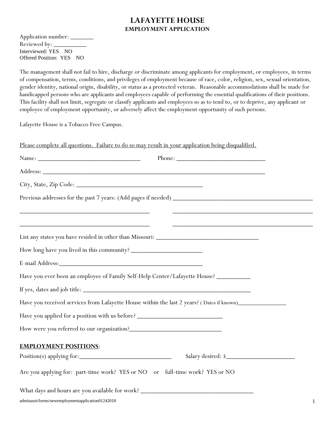### **LAFAYETTE HOUSE EMPLOYMENT APPLICATION**

Application number: \_\_\_\_\_\_\_ Reviewed by: \_ Interviewed: YES NO Offered Position: YES NO

The management shall not fail to hire, discharge or discriminate among applicants for employment, or employees, in terms of compensation, terms, conditions, and privileges of employment because of race, color, religion, sex, sexual orientation, gender identity, national origin, disability, or status as a protected veteran. Reasonable accommodations shall be made for handicapped persons who are applicants and employees capable of performing the essential qualifications of their positions. This facility shall not limit, segregate or classify applicants and employees so as to tend to, or to deprive, any applicant or employee of employment opportunity, or adversely affect the employment opportunity of such persons.

Lafayette House is a Tobacco Free Campus.

| Please complete all questions. Failure to do so may result in your application being disqualified.                                                                                                                                           |
|----------------------------------------------------------------------------------------------------------------------------------------------------------------------------------------------------------------------------------------------|
| Name: Name and the service of the service of the service of the service of the service of the service of the service of the service of the service of the service of the service of the service of the service of the service                |
|                                                                                                                                                                                                                                              |
|                                                                                                                                                                                                                                              |
|                                                                                                                                                                                                                                              |
| <u> 1989 - Johann John Harry Harry Harry Harry Harry Harry Harry Harry Harry Harry Harry Harry Harry Harry Harry</u><br><u> 1989 - Johann John Stone, markin film yn y brening yn y brening yn y brening y brening yn y brening yn y bre</u> |
|                                                                                                                                                                                                                                              |
|                                                                                                                                                                                                                                              |
|                                                                                                                                                                                                                                              |
| Have you ever been an employee of Family Self-Help Center/Lafayette House? __________                                                                                                                                                        |
|                                                                                                                                                                                                                                              |
| Have you received services from Lafayette House within the last 2 years? (Dates if known)_____________________                                                                                                                               |
| Have you applied for a position with us before? _________________________________                                                                                                                                                            |
|                                                                                                                                                                                                                                              |
| <b>EMPLOYMENT POSITIONS:</b>                                                                                                                                                                                                                 |
| Salary desired: \$                                                                                                                                                                                                                           |
| Are you applying for: part-time work? YES or NO or full-time work? YES or NO                                                                                                                                                                 |
|                                                                                                                                                                                                                                              |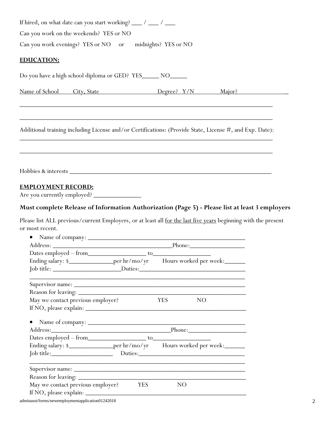| If hired, on what date can you start working? ___ / ___ / ___                                                  |                               |                                                                                                |
|----------------------------------------------------------------------------------------------------------------|-------------------------------|------------------------------------------------------------------------------------------------|
| Can you work on the weekends? YES or NO                                                                        |                               |                                                                                                |
| Can you work evenings? YES or NO or midnights? YES or NO                                                       |                               |                                                                                                |
|                                                                                                                |                               |                                                                                                |
| <b>EDUCATION:</b>                                                                                              |                               |                                                                                                |
| Do you have a high school diploma or GED? YES______ NO______                                                   |                               |                                                                                                |
|                                                                                                                |                               | Name of School City, State <b>Degree?</b> Y/N Major?                                           |
|                                                                                                                |                               |                                                                                                |
| Additional training including License and/or Certifications: (Provide State, License #, and Exp. Date):        |                               |                                                                                                |
|                                                                                                                |                               |                                                                                                |
|                                                                                                                |                               |                                                                                                |
|                                                                                                                |                               |                                                                                                |
|                                                                                                                |                               |                                                                                                |
| <b>EMPLOYMENT RECORD:</b>                                                                                      |                               |                                                                                                |
| Are you currently employed?                                                                                    |                               |                                                                                                |
|                                                                                                                |                               | Must complete Release of Information Authorization (Page 5) - Please list at least 3 employers |
| Please list ALL previous/current Employers, or at least all for the last five years beginning with the present |                               |                                                                                                |
| or most recent.                                                                                                |                               |                                                                                                |
| $\bullet$                                                                                                      |                               |                                                                                                |
|                                                                                                                |                               |                                                                                                |
|                                                                                                                |                               |                                                                                                |
|                                                                                                                |                               |                                                                                                |
|                                                                                                                |                               |                                                                                                |
| Supervisor name:                                                                                               |                               |                                                                                                |
| May we contact previous employer?                                                                              | <b>YES</b><br>NO <sub>1</sub> |                                                                                                |
|                                                                                                                |                               |                                                                                                |
| Address: Phone: Phone: Phone:                                                                                  |                               |                                                                                                |
|                                                                                                                |                               |                                                                                                |
| Ending salary: \$__________________per hr/mo/yr Hours worked per week:___________                              |                               |                                                                                                |
| Job title: Duties: Duties: Duties:                                                                             |                               |                                                                                                |
|                                                                                                                |                               |                                                                                                |
|                                                                                                                |                               |                                                                                                |
| May we contact previous employer? YES                                                                          | NO <sub>1</sub>               |                                                                                                |
| adminasst/forms/newemploymentapplication01242018                                                               |                               |                                                                                                |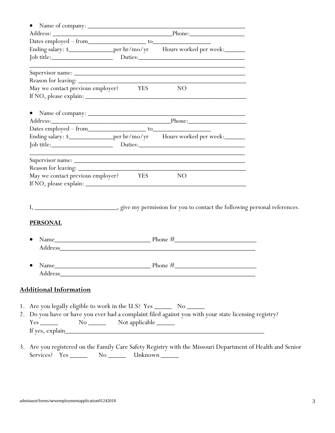|                                                                                                            | Ending salary: \$__________________per hr/mo/yr Hours worked per week:___________                                     |  |
|------------------------------------------------------------------------------------------------------------|-----------------------------------------------------------------------------------------------------------------------|--|
|                                                                                                            |                                                                                                                       |  |
|                                                                                                            | <u> 1990 - Johann John Stone, market fan de Fryske kunsten it fan de fan de Fryske kunsten fan de Fryske kunsten </u> |  |
|                                                                                                            | Supervisor name:                                                                                                      |  |
| May we contact previous employer? YES NO                                                                   |                                                                                                                       |  |
|                                                                                                            |                                                                                                                       |  |
|                                                                                                            |                                                                                                                       |  |
|                                                                                                            |                                                                                                                       |  |
|                                                                                                            |                                                                                                                       |  |
|                                                                                                            | Ending salary: \$__________________per hr/mo/yr Hours worked per week:___________                                     |  |
|                                                                                                            |                                                                                                                       |  |
|                                                                                                            |                                                                                                                       |  |
|                                                                                                            | Supervisor name:                                                                                                      |  |
|                                                                                                            |                                                                                                                       |  |
|                                                                                                            |                                                                                                                       |  |
|                                                                                                            |                                                                                                                       |  |
|                                                                                                            |                                                                                                                       |  |
|                                                                                                            |                                                                                                                       |  |
|                                                                                                            |                                                                                                                       |  |
|                                                                                                            |                                                                                                                       |  |
|                                                                                                            |                                                                                                                       |  |
| May we contact previous employer?<br>YES<br>NO<br><b>PERSONAL</b><br>Name <sub>.</sub>                     | Phone $#$                                                                                                             |  |
|                                                                                                            |                                                                                                                       |  |
|                                                                                                            |                                                                                                                       |  |
|                                                                                                            |                                                                                                                       |  |
| <b>Additional Information</b><br>1. Are you legally eligible to work in the U.S? Yes _________ No ________ | 2. Do you have or have you ever had a complaint filed against you with your state licensing registry?                 |  |
|                                                                                                            |                                                                                                                       |  |

Services? Yes \_\_\_\_\_\_\_\_ No \_\_\_\_\_\_\_ Unknown \_\_\_\_\_\_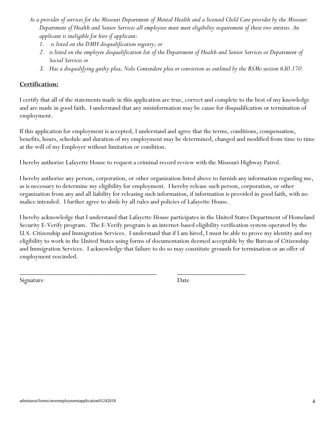- *As a provider of services for the Missouri Department of Mental Health and a licensed Child Care provider by the Missouri Department of Health and Senior Services all employees must meet eligibility requirement of these two entities. An applicant is ineligible for hire if applicant:*
	- *1. is listed on the DMH disqualification registry; or*
	- *2. is listed on the employee disqualification list of the Department of Health and Senior Services or Department of Social Services or*
	- *3. Has a disqualifying guilty plea, Nolo Contendere plea or conviction as outlined by the RSMo section 630.170.*

#### **Certification:**

I certify that all of the statements made in this application are true, correct and complete to the best of my knowledge and are made in good faith. I understand that any misinformation may be cause for disqualification or termination of employment.

If this application for employment is accepted, I understand and agree that the terms, conditions, compensation, benefits, hours, schedule and duration of my employment may be determined, changed and modified from time to time at the will of my Employer without limitation or condition.

I hereby authorize Lafayette House to request a criminal record review with the Missouri Highway Patrol.

\_\_\_\_\_\_\_\_\_\_\_\_\_\_\_\_\_\_\_\_\_\_\_\_\_\_\_\_\_\_\_\_\_\_\_\_\_\_\_\_ \_\_\_\_\_\_\_\_\_\_\_\_\_\_\_\_\_\_\_\_

I hereby authorize any person, corporation, or other organization listed above to furnish any information regarding me, as is necessary to determine my eligibility for employment. I hereby release such person, corporation, or other organization from any and all liability for releasing such information, if information is provided in good faith, with no malice intended. I further agree to abide by all rules and policies of Lafayette House.

I hereby acknowledge that I understand that Lafayette House participates in the United States Department of Homeland Security E-Verify program. The E-Verify program is an internet-based eligibility verification system operated by the U.S. Citizenship and Immigration Services. I understand that if I am hired, I must be able to prove my identity and my eligibility to work in the United States using forms of documentation deemed acceptable by the Bureau of Citizenship and Immigration Services. I acknowledge that failure to do so may constitute grounds for termination or an offer of employment rescinded.

Signature Date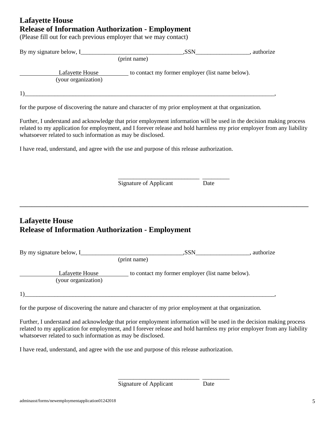#### **Lafayette House Release of Information Authorization - Employment**

(Please fill out for each previous employer that we may contact)

| By my signature below, I                                                                                                                                                                                                                                                                                     | .SSN                                             | , authorize |
|--------------------------------------------------------------------------------------------------------------------------------------------------------------------------------------------------------------------------------------------------------------------------------------------------------------|--------------------------------------------------|-------------|
| (print name)                                                                                                                                                                                                                                                                                                 |                                                  |             |
| Lafayette House<br>(your organization)                                                                                                                                                                                                                                                                       | to contact my former employer (list name below). |             |
|                                                                                                                                                                                                                                                                                                              |                                                  |             |
| for the purpose of discovering the nature and character of my prior employment at that organization.                                                                                                                                                                                                         |                                                  |             |
| Further, I understand and acknowledge that prior employment information will be used in the decision making process<br>related to my application for employment, and I forever release and hold harmless my prior employer from any liability<br>whatsoever related to such information as may be disclosed. |                                                  |             |

I have read, understand, and agree with the use and purpose of this release authorization.

Signature of Applicant Date

\_\_\_\_\_\_\_\_\_\_\_\_\_\_\_\_\_\_\_\_\_\_\_\_\_\_\_ \_\_\_\_\_\_\_\_\_

**\_\_\_\_\_\_\_\_\_\_\_\_\_\_\_\_\_\_\_\_\_\_\_\_\_\_\_\_\_\_\_\_\_\_\_\_\_\_\_\_\_\_\_\_\_\_\_\_\_\_\_\_\_\_\_\_\_\_\_\_\_\_\_\_\_\_\_\_\_\_\_\_\_\_\_\_\_\_\_\_\_\_\_\_\_\_\_\_\_\_\_\_\_\_\_\_**

## **Lafayette House Release of Information Authorization - Employment**

| By my signature below, I_              | ,SSN<br>authorize                                |
|----------------------------------------|--------------------------------------------------|
|                                        | (print name)                                     |
| Lafayette House<br>(your organization) | to contact my former employer (list name below). |
|                                        |                                                  |

for the purpose of discovering the nature and character of my prior employment at that organization.

Further, I understand and acknowledge that prior employment information will be used in the decision making process related to my application for employment, and I forever release and hold harmless my prior employer from any liability whatsoever related to such information as may be disclosed.

I have read, understand, and agree with the use and purpose of this release authorization.

Signature of Applicant Date

\_\_\_\_\_\_\_\_\_\_\_\_\_\_\_\_\_\_\_\_\_\_\_\_\_\_\_ \_\_\_\_\_\_\_\_\_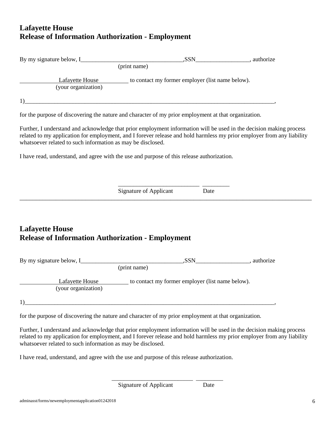## **Lafayette House Release of Information Authorization - Employment**

| (your organization)                                                                                                                                                                                                                                                                                          | Lafayette House to contact my former employer (list name below). |      |  |
|--------------------------------------------------------------------------------------------------------------------------------------------------------------------------------------------------------------------------------------------------------------------------------------------------------------|------------------------------------------------------------------|------|--|
|                                                                                                                                                                                                                                                                                                              |                                                                  |      |  |
| for the purpose of discovering the nature and character of my prior employment at that organization.                                                                                                                                                                                                         |                                                                  |      |  |
| Further, I understand and acknowledge that prior employment information will be used in the decision making process<br>related to my application for employment, and I forever release and hold harmless my prior employer from any liability<br>whatsoever related to such information as may be disclosed. |                                                                  |      |  |
| I have read, understand, and agree with the use and purpose of this release authorization.                                                                                                                                                                                                                   |                                                                  |      |  |
|                                                                                                                                                                                                                                                                                                              |                                                                  |      |  |
|                                                                                                                                                                                                                                                                                                              | <b>Signature of Applicant</b>                                    | Date |  |
|                                                                                                                                                                                                                                                                                                              |                                                                  |      |  |
| <b>Lafayette House</b><br><b>Release of Information Authorization - Employment</b>                                                                                                                                                                                                                           |                                                                  |      |  |
|                                                                                                                                                                                                                                                                                                              |                                                                  |      |  |
|                                                                                                                                                                                                                                                                                                              |                                                                  |      |  |
| (your organization)                                                                                                                                                                                                                                                                                          | Lafayette House to contact my former employer (list name below). |      |  |
| 1)                                                                                                                                                                                                                                                                                                           |                                                                  |      |  |

for the purpose of discovering the nature and character of my prior employment at that organization.

Further, I understand and acknowledge that prior employment information will be used in the decision making process related to my application for employment, and I forever release and hold harmless my prior employer from any liability whatsoever related to such information as may be disclosed.

\_\_\_\_\_\_\_\_\_\_\_\_\_\_\_\_\_\_\_\_\_\_\_\_\_\_\_ \_\_\_\_\_\_\_\_\_

I have read, understand, and agree with the use and purpose of this release authorization.

Signature of Applicant Date